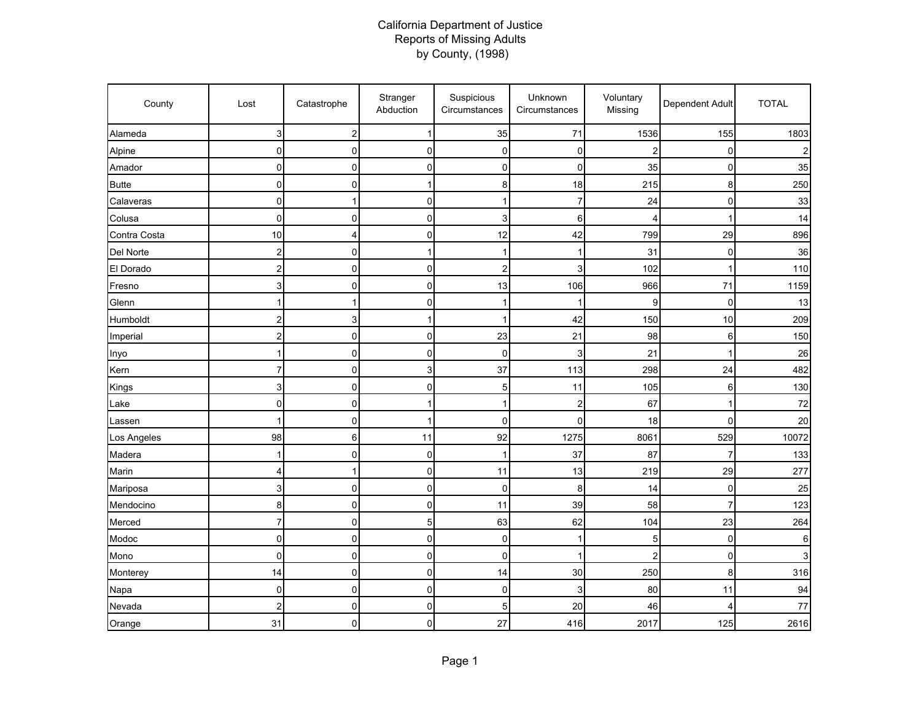## California Department of Justice Reports of Missing Adults by County, (1998)

| County       | Lost                    | Catastrophe      | Stranger<br>Abduction | Suspicious<br>Circumstances | Unknown<br>Circumstances | Voluntary<br>Missing | Dependent Adult | <b>TOTAL</b> |
|--------------|-------------------------|------------------|-----------------------|-----------------------------|--------------------------|----------------------|-----------------|--------------|
| Alameda      | 3                       | $\boldsymbol{2}$ | 1                     | 35                          | 71                       | 1536                 | 155             | 1803         |
| Alpine       | $\pmb{0}$               | 0                | 0                     | 0                           | 0                        | 2                    | 0               |              |
| Amador       | 0                       | 0                | 0                     | 0                           | 0                        | 35                   | 0               | 35           |
| <b>Butte</b> | $\mathbf 0$             | 0                | 1                     | 8                           | 18                       | 215                  | 8               | 250          |
| Calaveras    | $\overline{0}$          | 1                | 0                     | 1                           | 7                        | 24                   | $\mathbf 0$     | 33           |
| Colusa       | $\mathbf 0$             | 0                | 0                     | 3                           | 6                        | 4                    |                 | 14           |
| Contra Costa | 10                      | 4                | 0                     | 12                          | 42                       | 799                  | 29              | 896          |
| Del Norte    | $\overline{c}$          | $\mathbf 0$      | 1                     | 1                           |                          | 31                   | 0               | 36           |
| El Dorado    | $\overline{c}$          | $\pmb{0}$        | 0                     | $\overline{\mathbf{c}}$     | 3                        | 102                  | 1               | 110          |
| Fresno       | 3                       | $\mathbf 0$      | 0                     | 13                          | 106                      | 966                  | 71              | 1159         |
| Glenn        |                         | 1                | 0                     | 1                           |                          | 9                    | $\mathbf 0$     | 13           |
| Humboldt     | 2                       | 3                | 1                     | 1                           | 42                       | 150                  | 10              | 209          |
| Imperial     | $\overline{\mathbf{c}}$ | 0                | 0                     | 23                          | 21                       | 98                   | 6               | 150          |
| Inyo         | $\mathbf{1}$            | $\mathbf 0$      | 0                     | $\mathbf 0$                 | 3                        | 21                   | 1               | 26           |
| Kern         | $\overline{7}$          | $\mathbf 0$      | 3                     | 37                          | 113                      | 298                  | 24              | 482          |
| Kings        | 3                       | $\mathbf 0$      | 0                     | 5                           | 11                       | 105                  | 6               | 130          |
| Lake         | 0                       | 0                | 1                     | 1                           | 2                        | 67                   | 1               | 72           |
| Lassen       |                         | 0                | 1                     | 0                           | 0                        | 18                   | $\Omega$        | 20           |
| Los Angeles  | 98                      | 6                | 11                    | 92                          | 1275                     | 8061                 | 529             | 10072        |
| Madera       | 1                       | 0                | 0                     | 1                           | 37                       | 87                   | 7               | 133          |
| Marin        | 4                       | 1                | 0                     | 11                          | 13                       | 219                  | 29              | 277          |
| Mariposa     | 3                       | $\pmb{0}$        | 0                     | 0                           | 8                        | 14                   | $\mathbf 0$     | 25           |
| Mendocino    | 8                       | $\pmb{0}$        | 0                     | 11                          | 39                       | 58                   | $\overline{7}$  | 123          |
| Merced       | $\overline{7}$          | $\mathbf 0$      | 5                     | 63                          | 62                       | 104                  | 23              | 264          |
| Modoc        | 0                       | 0                | 0                     | 0                           | 1                        | 5                    | $\mathbf 0$     | 6            |
| Mono         | $\mathbf 0$             | $\mathbf 0$      | 0                     | 0                           |                          | 2                    | $\Omega$        |              |
| Monterey     | 14                      | $\mathbf 0$      | 0                     | 14                          | 30                       | 250                  | 8               | 316          |
| Napa         | $\pmb{0}$               | $\pmb{0}$        | 0                     | 0                           | 3                        | 80                   | 11              | 94           |
| Nevada       | $\overline{c}$          | $\mathbf 0$      | 0                     | 5                           | 20                       | 46                   | 4               | 77           |
| Orange       | 31                      | 0                | 0                     | 27                          | 416                      | 2017                 | 125             | 2616         |